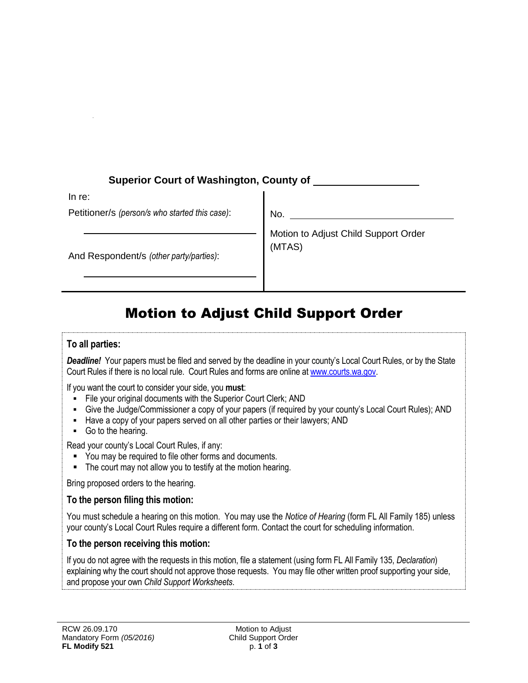| <b>Superior Court of Washington, County of</b>           |                                                |
|----------------------------------------------------------|------------------------------------------------|
| In re:<br>Petitioner/s (person/s who started this case): | No.                                            |
| And Respondent/s (other party/parties):                  | Motion to Adjust Child Support Order<br>(MTAS) |

# Motion to Adjust Child Support Order

#### **To all parties:**

*Deadline!* Your papers must be filed and served by the deadline in your county's Local Court Rules, or by the State Court Rules if there is no local rule. Court Rules and forms are online at [www.courts.wa.gov.](http://www.courts.wa.gov/)

If you want the court to consider your side, you **must**:

- File your original documents with the Superior Court Clerk; AND
- Give the Judge/Commissioner a copy of your papers (if required by your county's Local Court Rules); AND
- Have a copy of your papers served on all other parties or their lawyers; AND
- Go to the hearing.

Read your county's Local Court Rules, if any:

- **•** You may be required to file other forms and documents.
- The court may not allow you to testify at the motion hearing.

Bring proposed orders to the hearing.

#### **To the person filing this motion:**

You must schedule a hearing on this motion. You may use the *Notice of Hearing* (form FL All Family 185) unless your county's Local Court Rules require a different form. Contact the court for scheduling information.

#### **To the person receiving this motion:**

If you do not agree with the requests in this motion, file a statement (using form FL All Family 135, *Declaration*) explaining why the court should not approve those requests. You may file other written proof supporting your side, and propose your own *Child Support Worksheets*.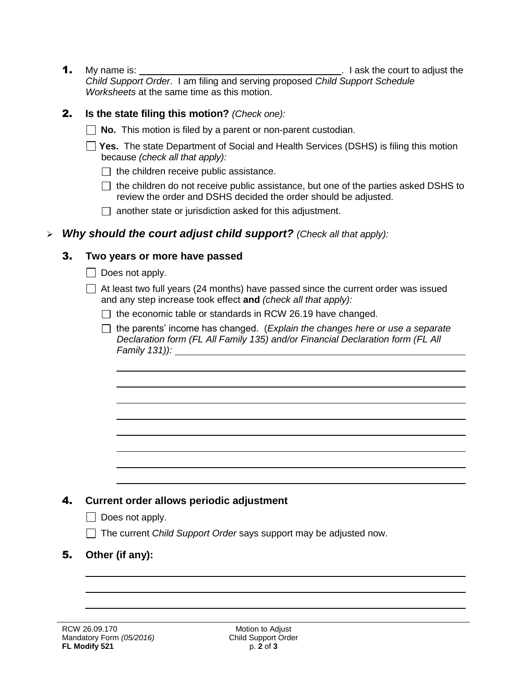1. My name is:  $\frac{1}{2}$  ask the court to adjust the *Child Support Order*. I am filing and serving proposed *Child Support Schedule Worksheets* at the same time as this motion.

### 2. **Is the state filing this motion?** *(Check one):*

- **No.** This motion is filed by a parent or non-parent custodian.
- **Yes.** The state Department of Social and Health Services (DSHS) is filing this motion because *(check all that apply):*
	- $\Box$  the children receive public assistance.
	- $\Box$  the children do not receive public assistance, but one of the parties asked DSHS to review the order and DSHS decided the order should be adjusted.
	- $\Box$  another state or jurisdiction asked for this adjustment.

# *Why should the court adjust child support? (Check all that apply):*

### 3. **Two years or more have passed**

- $\Box$  Does not apply.
- $\Box$  At least two full years (24 months) have passed since the current order was issued and any step increase took effect **and** *(check all that apply):*
	- $\Box$  the economic table or standards in RCW 26.19 have changed.
	- the parents' income has changed. (*Explain the changes here or use a separate Declaration form (FL All Family 135) and/or Financial Declaration form (FL All Family 131)):*

# 4. **Current order allows periodic adjustment**

- $\Box$  Does not apply.
- The current *Child Support Order* says support may be adjusted now.
- 5. **Other (if any):**